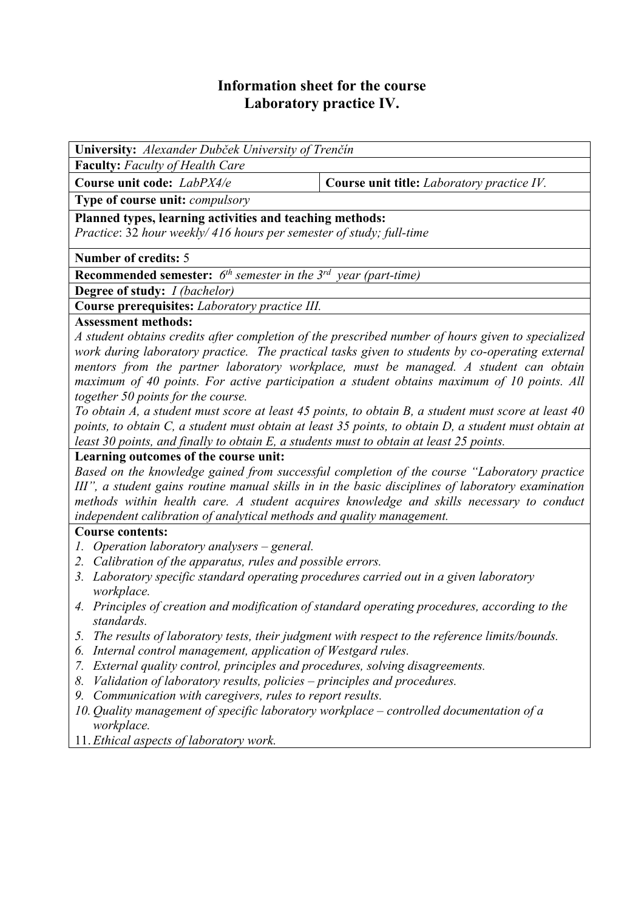# **Information sheet for the course Laboratory practice IV.**

**University:** *Alexander Dubček University of Trenčín* 

**Faculty:** *Faculty of Health Care* 

**Course unit code:** *LabPX4/e* **Course unit title:** *Laboratory practice IV.*

**Type of course unit:** *compulsory* 

**Planned types, learning activities and teaching methods:** 

*Practice*: 32 *hour weekly/ 416 hours per semester of study; full-time*

## **Number of credits:** 5

**Recommended semester:** *6th semester in the 3rd year (part-time)* 

**Degree of study:** *I (bachelor)* 

**Course prerequisites:** *Laboratory practice III.*

## **Assessment methods:**

*A student obtains credits after completion of the prescribed number of hours given to specialized work during laboratory practice. The practical tasks given to students by co-operating external mentors from the partner laboratory workplace, must be managed. A student can obtain maximum of 40 points. For active participation a student obtains maximum of 10 points. All together 50 points for the course.* 

*To obtain A, a student must score at least 45 points, to obtain B, a student must score at least 40 points, to obtain C, a student must obtain at least 35 points, to obtain D, a student must obtain at least 30 points, and finally to obtain E, a students must to obtain at least 25 points.*

# **Learning outcomes of the course unit:**

*Based on the knowledge gained from successful completion of the course "Laboratory practice III", a student gains routine manual skills in in the basic disciplines of laboratory examination methods within health care. A student acquires knowledge and skills necessary to conduct independent calibration of analytical methods and quality management.* 

# **Course contents:**

- *1. Operation laboratory analysers general.*
- *2. Calibration of the apparatus, rules and possible errors.*
- *3. Laboratory specific standard operating procedures carried out in a given laboratory workplace.*
- *4. Principles of creation and modification of standard operating procedures, according to the standards.*
- *5. The results of laboratory tests, their judgment with respect to the reference limits/bounds.*
- *6. Internal control management, application of Westgard rules.*
- *7. External quality control, principles and procedures, solving disagreements.*
- *8. Validation of laboratory results, policies principles and procedures.*
- *9. Communication with caregivers, rules to report results.*
- *10. Quality management of specific laboratory workplace controlled documentation of a workplace.*
- 11. *Ethical aspects of laboratory work.*